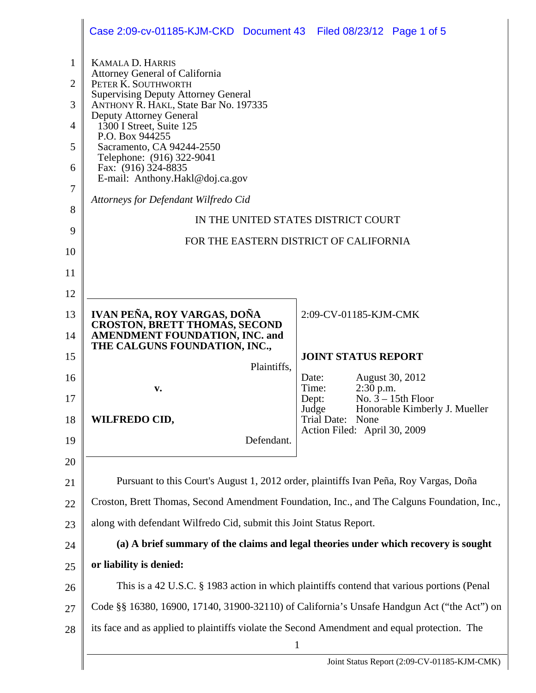|                                                                                            | Case 2:09-cv-01185-KJM-CKD Document 43 Filed 08/23/12 Page 1 of 5                                                                                                                                                                                                                                                                                                                                                                                                                                     |                                                                                                                                                                               |                               |  |
|--------------------------------------------------------------------------------------------|-------------------------------------------------------------------------------------------------------------------------------------------------------------------------------------------------------------------------------------------------------------------------------------------------------------------------------------------------------------------------------------------------------------------------------------------------------------------------------------------------------|-------------------------------------------------------------------------------------------------------------------------------------------------------------------------------|-------------------------------|--|
| $\mathbf{1}$<br>$\overline{2}$<br>3<br>$\overline{4}$<br>5<br>6<br>7<br>8<br>9<br>10<br>11 | <b>KAMALA D. HARRIS</b><br><b>Attorney General of California</b><br>PETER K. SOUTHWORTH<br><b>Supervising Deputy Attorney General</b><br>ANTHONY R. HAKL, State Bar No. 197335<br>Deputy Attorney General<br>1300 I Street, Suite 125<br>P.O. Box 944255<br>Sacramento, CA 94244-2550<br>Telephone: (916) 322-9041<br>Fax: (916) 324-8835<br>E-mail: Anthony.Hakl@doj.ca.gov<br>Attorneys for Defendant Wilfredo Cid<br>IN THE UNITED STATES DISTRICT COURT<br>FOR THE EASTERN DISTRICT OF CALIFORNIA |                                                                                                                                                                               |                               |  |
| 12                                                                                         |                                                                                                                                                                                                                                                                                                                                                                                                                                                                                                       |                                                                                                                                                                               |                               |  |
| 13<br>14                                                                                   | IVAN PEÑA, ROY VARGAS, DOÑA<br><b>CROSTON, BRETT THOMAS, SECOND</b><br>AMENDMENT FOUNDATION, INC. and<br>THE CALGUNS FOUNDATION, INC.,                                                                                                                                                                                                                                                                                                                                                                | 2:09-CV-01185-KJM-CMK                                                                                                                                                         |                               |  |
| 15<br>16<br>17<br>18<br>19                                                                 | Plaintiffs,<br>$\mathbf{v}$ .<br>WILFREDO CID,<br>Defendant.                                                                                                                                                                                                                                                                                                                                                                                                                                          | <b>JOINT STATUS REPORT</b><br>August 30, 2012<br>Date:<br>$2:30$ p.m.<br>Time:<br>No. $3 - 15$ th Floor<br>Dept:<br>Judge<br>Trial Date: None<br>Action Filed: April 30, 2009 | Honorable Kimberly J. Mueller |  |
| 20                                                                                         |                                                                                                                                                                                                                                                                                                                                                                                                                                                                                                       |                                                                                                                                                                               |                               |  |
| 21                                                                                         | Pursuant to this Court's August 1, 2012 order, plaintiffs Ivan Peña, Roy Vargas, Doña                                                                                                                                                                                                                                                                                                                                                                                                                 |                                                                                                                                                                               |                               |  |
| 22                                                                                         |                                                                                                                                                                                                                                                                                                                                                                                                                                                                                                       | Croston, Brett Thomas, Second Amendment Foundation, Inc., and The Calguns Foundation, Inc.,                                                                                   |                               |  |
| 23                                                                                         | along with defendant Wilfredo Cid, submit this Joint Status Report.                                                                                                                                                                                                                                                                                                                                                                                                                                   |                                                                                                                                                                               |                               |  |
| 24                                                                                         | (a) A brief summary of the claims and legal theories under which recovery is sought                                                                                                                                                                                                                                                                                                                                                                                                                   |                                                                                                                                                                               |                               |  |
| 25                                                                                         | or liability is denied:                                                                                                                                                                                                                                                                                                                                                                                                                                                                               |                                                                                                                                                                               |                               |  |
| 26                                                                                         |                                                                                                                                                                                                                                                                                                                                                                                                                                                                                                       | This is a 42 U.S.C. § 1983 action in which plaintiffs contend that various portions (Penal                                                                                    |                               |  |
| 27                                                                                         | Code §§ 16380, 16900, 17140, 31900-32110) of California's Unsafe Handgun Act ("the Act") on                                                                                                                                                                                                                                                                                                                                                                                                           |                                                                                                                                                                               |                               |  |
| 28                                                                                         | its face and as applied to plaintiffs violate the Second Amendment and equal protection. The<br>1                                                                                                                                                                                                                                                                                                                                                                                                     |                                                                                                                                                                               |                               |  |
|                                                                                            |                                                                                                                                                                                                                                                                                                                                                                                                                                                                                                       | Joint Status Report (2:09-CV-01185-KJM-CMK)                                                                                                                                   |                               |  |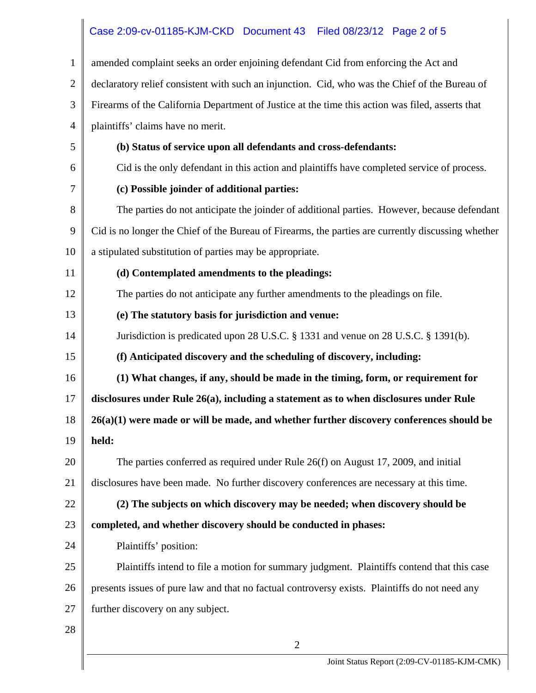## Case 2:09-cv-01185-KJM-CKD Document 43 Filed 08/23/12 Page 2 of 5

| $\mathbf{1}$   | amended complaint seeks an order enjoining defendant Cid from enforcing the Act and                |  |  |
|----------------|----------------------------------------------------------------------------------------------------|--|--|
| $\overline{2}$ | declaratory relief consistent with such an injunction. Cid, who was the Chief of the Bureau of     |  |  |
| 3              | Firearms of the California Department of Justice at the time this action was filed, asserts that   |  |  |
| 4              | plaintiffs' claims have no merit.                                                                  |  |  |
| 5              | (b) Status of service upon all defendants and cross-defendants:                                    |  |  |
| 6              | Cid is the only defendant in this action and plaintiffs have completed service of process.         |  |  |
| 7              | (c) Possible joinder of additional parties:                                                        |  |  |
| 8              | The parties do not anticipate the joinder of additional parties. However, because defendant        |  |  |
| 9              | Cid is no longer the Chief of the Bureau of Firearms, the parties are currently discussing whether |  |  |
| 10             | a stipulated substitution of parties may be appropriate.                                           |  |  |
| 11             | (d) Contemplated amendments to the pleadings:                                                      |  |  |
| 12             | The parties do not anticipate any further amendments to the pleadings on file.                     |  |  |
| 13             | (e) The statutory basis for jurisdiction and venue:                                                |  |  |
| 14             | Jurisdiction is predicated upon 28 U.S.C. § 1331 and venue on 28 U.S.C. § 1391(b).                 |  |  |
| 15             | (f) Anticipated discovery and the scheduling of discovery, including:                              |  |  |
| 16             | (1) What changes, if any, should be made in the timing, form, or requirement for                   |  |  |
| 17             | disclosures under Rule 26(a), including a statement as to when disclosures under Rule              |  |  |
| 18             | $26(a)(1)$ were made or will be made, and whether further discovery conferences should be          |  |  |
| 19             | held:                                                                                              |  |  |
| 20             | The parties conferred as required under Rule $26(f)$ on August 17, 2009, and initial               |  |  |
| 21             | disclosures have been made. No further discovery conferences are necessary at this time.           |  |  |
| 22             | (2) The subjects on which discovery may be needed; when discovery should be                        |  |  |
| 23             | completed, and whether discovery should be conducted in phases:                                    |  |  |
| 24             | Plaintiffs' position:                                                                              |  |  |
| 25             | Plaintiffs intend to file a motion for summary judgment. Plaintiffs contend that this case         |  |  |
| 26             | presents issues of pure law and that no factual controversy exists. Plaintiffs do not need any     |  |  |
| 27             | further discovery on any subject.                                                                  |  |  |
| 28             |                                                                                                    |  |  |
|                | $\overline{2}$                                                                                     |  |  |
|                | Joint Status Report (2:09-CV-01185-KJM-CMK)                                                        |  |  |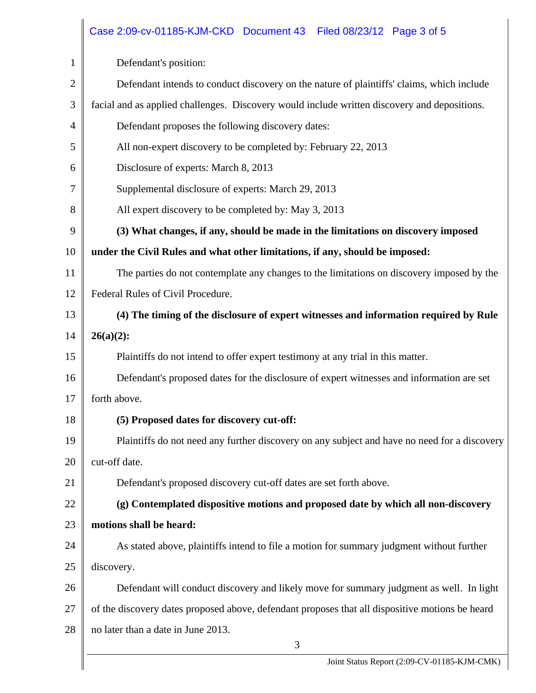|                | Case 2:09-cv-01185-KJM-CKD Document 43 Filed 08/23/12 Page 3 of 5                               |  |  |  |
|----------------|-------------------------------------------------------------------------------------------------|--|--|--|
| 1              | Defendant's position:                                                                           |  |  |  |
| $\overline{2}$ | Defendant intends to conduct discovery on the nature of plaintiffs' claims, which include       |  |  |  |
| 3              | facial and as applied challenges. Discovery would include written discovery and depositions.    |  |  |  |
| $\overline{4}$ | Defendant proposes the following discovery dates:                                               |  |  |  |
| 5              | All non-expert discovery to be completed by: February 22, 2013                                  |  |  |  |
| 6              | Disclosure of experts: March 8, 2013                                                            |  |  |  |
| 7              | Supplemental disclosure of experts: March 29, 2013                                              |  |  |  |
| 8              | All expert discovery to be completed by: May 3, 2013                                            |  |  |  |
| 9              | (3) What changes, if any, should be made in the limitations on discovery imposed                |  |  |  |
| 10             | under the Civil Rules and what other limitations, if any, should be imposed:                    |  |  |  |
| 11             | The parties do not contemplate any changes to the limitations on discovery imposed by the       |  |  |  |
| 12             | Federal Rules of Civil Procedure.                                                               |  |  |  |
| 13             | (4) The timing of the disclosure of expert witnesses and information required by Rule           |  |  |  |
| 14             | $26(a)(2)$ :                                                                                    |  |  |  |
| 15             | Plaintiffs do not intend to offer expert testimony at any trial in this matter.                 |  |  |  |
| 16             | Defendant's proposed dates for the disclosure of expert witnesses and information are set       |  |  |  |
| 17             | forth above.                                                                                    |  |  |  |
| 18             | (5) Proposed dates for discovery cut-off:                                                       |  |  |  |
| 19             | Plaintiffs do not need any further discovery on any subject and have no need for a discovery    |  |  |  |
| 20             | cut-off date.                                                                                   |  |  |  |
| 21             | Defendant's proposed discovery cut-off dates are set forth above.                               |  |  |  |
| 22             | (g) Contemplated dispositive motions and proposed date by which all non-discovery               |  |  |  |
| 23             | motions shall be heard:                                                                         |  |  |  |
| 24             | As stated above, plaintiffs intend to file a motion for summary judgment without further        |  |  |  |
| 25             | discovery.                                                                                      |  |  |  |
| 26             | Defendant will conduct discovery and likely move for summary judgment as well. In light         |  |  |  |
| 27             | of the discovery dates proposed above, defendant proposes that all dispositive motions be heard |  |  |  |
| 28             | no later than a date in June 2013.                                                              |  |  |  |
|                | 3                                                                                               |  |  |  |
|                | Joint Status Report (2:09-CV-01185-KJM-CMK)                                                     |  |  |  |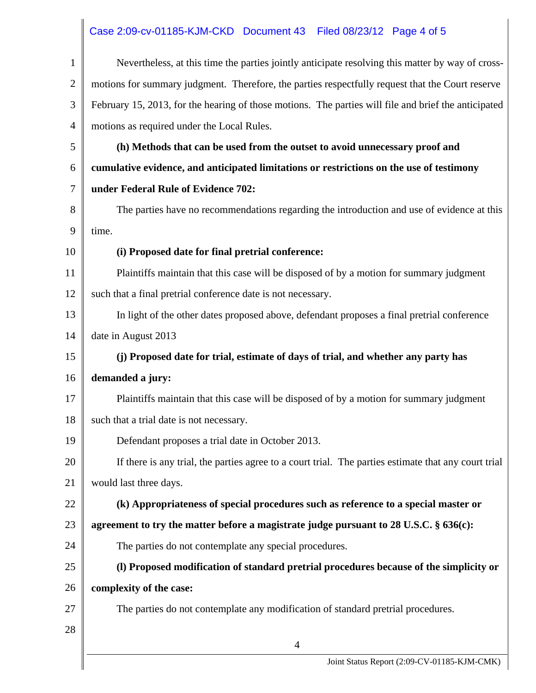## Case 2:09-cv-01185-KJM-CKD Document 43 Filed 08/23/12 Page 4 of 5

| $\mathbf{1}$   | Nevertheless, at this time the parties jointly anticipate resolving this matter by way of cross-     |  |  |
|----------------|------------------------------------------------------------------------------------------------------|--|--|
| $\overline{2}$ | motions for summary judgment. Therefore, the parties respectfully request that the Court reserve     |  |  |
| 3              | February 15, 2013, for the hearing of those motions. The parties will file and brief the anticipated |  |  |
| 4              | motions as required under the Local Rules.                                                           |  |  |
| 5              | (h) Methods that can be used from the outset to avoid unnecessary proof and                          |  |  |
| 6              | cumulative evidence, and anticipated limitations or restrictions on the use of testimony             |  |  |
| 7              | under Federal Rule of Evidence 702:                                                                  |  |  |
| 8              | The parties have no recommendations regarding the introduction and use of evidence at this           |  |  |
| 9              | time.                                                                                                |  |  |
| 10             | (i) Proposed date for final pretrial conference:                                                     |  |  |
| 11             | Plaintiffs maintain that this case will be disposed of by a motion for summary judgment              |  |  |
| 12             | such that a final pretrial conference date is not necessary.                                         |  |  |
| 13             | In light of the other dates proposed above, defendant proposes a final pretrial conference           |  |  |
| 14             | date in August 2013                                                                                  |  |  |
| 15             | (j) Proposed date for trial, estimate of days of trial, and whether any party has                    |  |  |
| 16             | demanded a jury:                                                                                     |  |  |
| 17             | Plaintiffs maintain that this case will be disposed of by a motion for summary judgment              |  |  |
| 18             | such that a trial date is not necessary.                                                             |  |  |
| 19             | Defendant proposes a trial date in October 2013.                                                     |  |  |
| 20             | If there is any trial, the parties agree to a court trial. The parties estimate that any court trial |  |  |
| 21             | would last three days.                                                                               |  |  |
| 22             | (k) Appropriateness of special procedures such as reference to a special master or                   |  |  |
| 23             | agreement to try the matter before a magistrate judge pursuant to $28$ U.S.C. $\S$ 636(c):           |  |  |
| 24             | The parties do not contemplate any special procedures.                                               |  |  |
| 25             | (I) Proposed modification of standard pretrial procedures because of the simplicity or               |  |  |
| 26             | complexity of the case:                                                                              |  |  |
| 27             | The parties do not contemplate any modification of standard pretrial procedures.                     |  |  |
| 28             |                                                                                                      |  |  |
|                | 4                                                                                                    |  |  |
|                | Joint Status Report (2:09-CV-01185-KJM-CMK)                                                          |  |  |